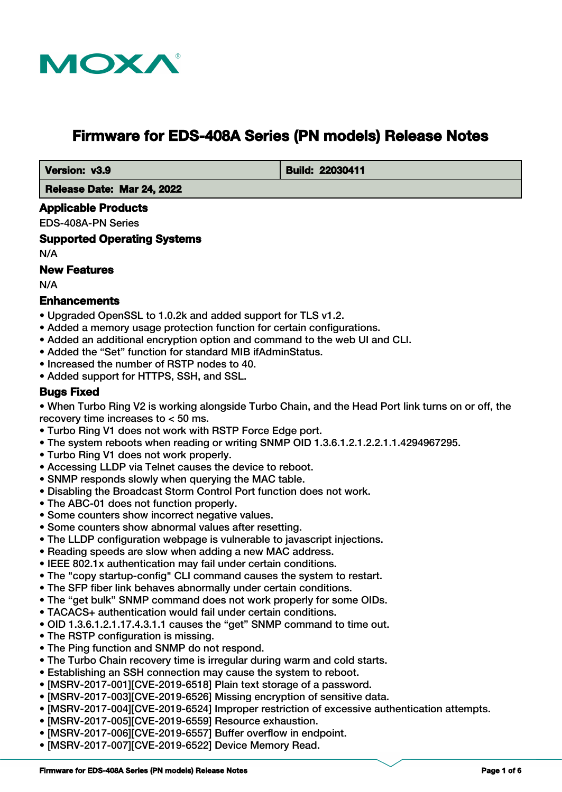

# **Firmware for EDS-408A Series (PN models) Release Notes**

 **Version: v3.9 Build: 22030411** 

 **Release Date: Mar 24, 2022**

## **Applicable Products**

EDS-408A-PN Series

**Supported Operating Systems**

N/A

#### **New Features**

N/A

# **Enhancements**

- Upgraded OpenSSL to 1.0.2k and added support for TLS v1.2.
- Added a memory usage protection function for certain configurations.
- Added an additional encryption option and command to the web UI and CLI.
- Added the "Set" function for standard MIB ifAdminStatus.
- Increased the number of RSTP nodes to 40.
- Added support for HTTPS, SSH, and SSL.

# **Bugs Fixed**

• When Turbo Ring V2 is working alongside Turbo Chain, and the Head Port link turns on or off, the recovery time increases to < 50 ms.

- Turbo Ring V1 does not work with RSTP Force Edge port.
- The system reboots when reading or writing SNMP OID 1.3.6.1.2.1.2.2.1.1.4294967295.
- Turbo Ring V1 does not work properly.
- Accessing LLDP via Telnet causes the device to reboot.
- SNMP responds slowly when querying the MAC table.
- Disabling the Broadcast Storm Control Port function does not work.
- The ABC-01 does not function properly.
- Some counters show incorrect negative values.
- Some counters show abnormal values after resetting.
- The LLDP configuration webpage is vulnerable to javascript injections.
- Reading speeds are slow when adding a new MAC address.
- IEEE 802.1x authentication may fail under certain conditions.
- The "copy startup-config" CLI command causes the system to restart.
- The SFP fiber link behaves abnormally under certain conditions.
- The "get bulk" SNMP command does not work properly for some OIDs.
- TACACS+ authentication would fail under certain conditions.
- OID 1.3.6.1.2.1.17.4.3.1.1 causes the "get" SNMP command to time out.
- The RSTP configuration is missing.
- The Ping function and SNMP do not respond.
- The Turbo Chain recovery time is irregular during warm and cold starts.
- Establishing an SSH connection may cause the system to reboot.
- [MSRV-2017-001][CVE-2019-6518] Plain text storage of a password.
- [MSRV-2017-003][CVE-2019-6526] Missing encryption of sensitive data.
- [MSRV-2017-004][CVE-2019-6524] Improper restriction of excessive authentication attempts.
- [MSRV-2017-005][CVE-2019-6559] Resource exhaustion.
- [MSRV-2017-006][CVE-2019-6557] Buffer overflow in endpoint.
- [MSRV-2017-007][CVE-2019-6522] Device Memory Read.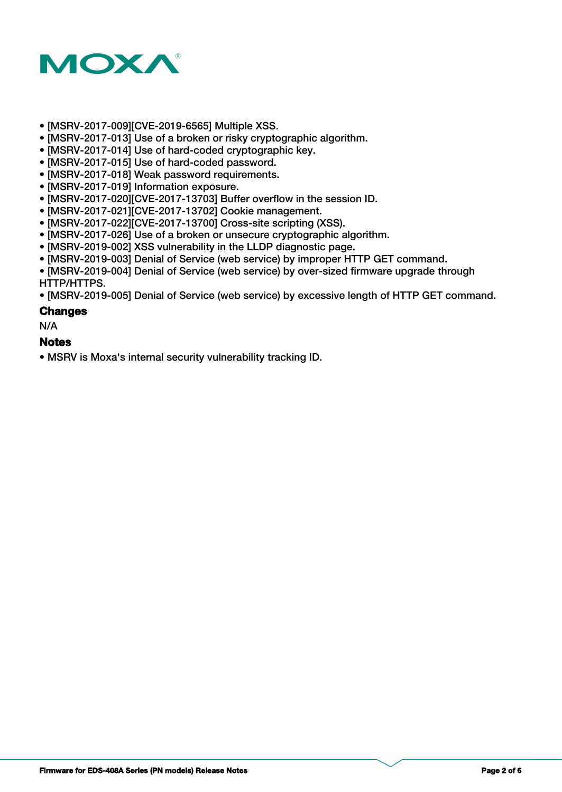

- [MSRV-2017-009][CVE-2019-6565] Multiple XSS.
- [MSRV-2017-013] Use of a broken or risky cryptographic algorithm.
- [MSRV-2017-014] Use of hard-coded cryptographic key.
- [MSRV-2017-015] Use of hard-coded password.
- [MSRV-2017-018] Weak password requirements.
- [MSRV-2017-019] Information exposure.
- [MSRV-2017-020][CVE-2017-13703] Buffer overflow in the session ID.
- [MSRV-2017-021][CVE-2017-13702] Cookie management.
- [MSRV-2017-022][CVE-2017-13700] Cross-site scripting (XSS).
- [MSRV-2017-026] Use of a broken or unsecure cryptographic algorithm.
- [MSRV-2019-002] XSS vulnerability in the LLDP diagnostic page.
- [MSRV-2019-003] Denial of Service (web service) by improper HTTP GET command.
- [MSRV-2019-004] Denial of Service (web service) by over-sized firmware upgrade through HTTP/HTTPS.

• [MSRV-2019-005] Denial of Service (web service) by excessive length of HTTP GET command.

#### **Changes**

N/A

#### **Notes**

• MSRV is Moxa's internal security vulnerability tracking ID.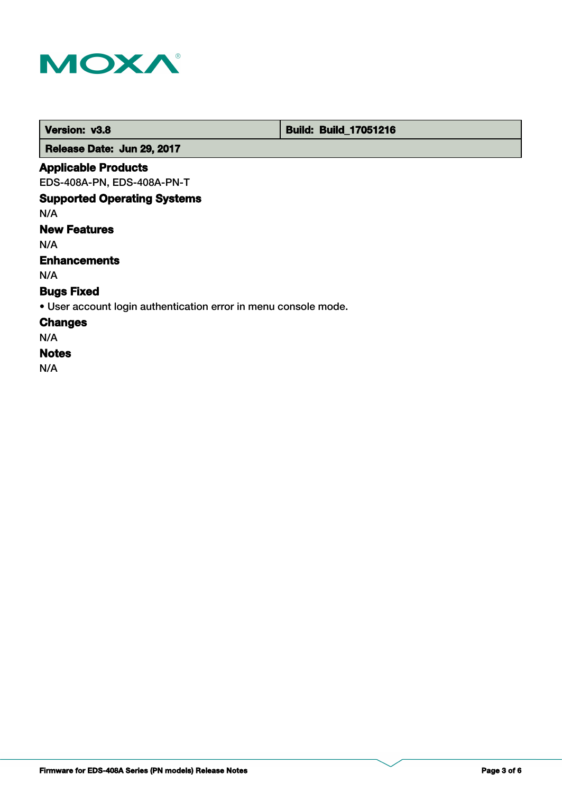

 **Version: v3.8 <b>Build: Build: Build: 17051216** 

 **Release Date: Jun 29, 2017**

# **Applicable Products**

EDS-408A-PN, EDS-408A-PN-T

# **Supported Operating Systems**

N/A

# **New Features**

N/A

# **Enhancements**

N/A

# **Bugs Fixed**

• User account login authentication error in menu console mode.

## **Changes**

N/A

# **Notes**

N/A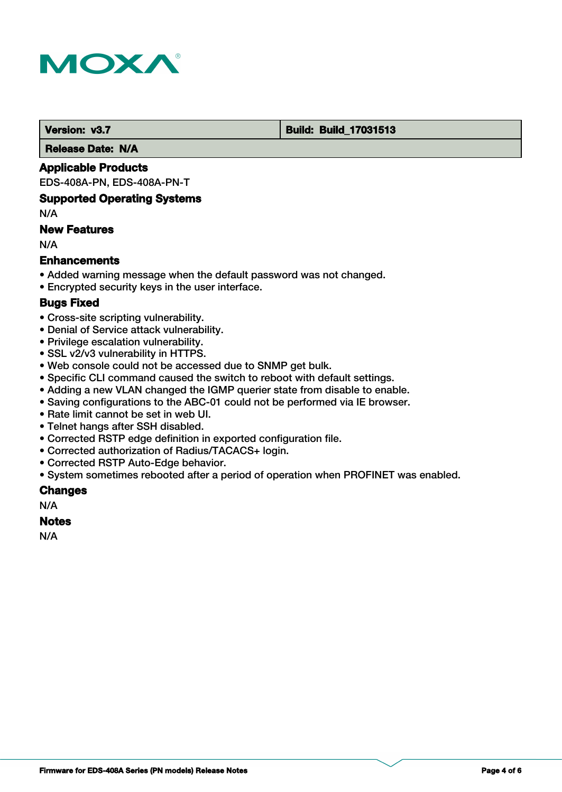

#### **Version: v3.7 Build: Build: Build: 17031513**

 **Release Date: N/A**

#### **Applicable Products**

EDS-408A-PN, EDS-408A-PN-T

#### **Supported Operating Systems**

N/A

# **New Features**

N/A

# **Enhancements**

- Added warning message when the default password was not changed.
- Encrypted security keys in the user interface.

# **Bugs Fixed**

- Cross-site scripting vulnerability.
- Denial of Service attack vulnerability.
- Privilege escalation vulnerability.
- SSL v2/v3 vulnerability in HTTPS.
- Web console could not be accessed due to SNMP get bulk.
- Specific CLI command caused the switch to reboot with default settings.
- Adding a new VLAN changed the IGMP querier state from disable to enable.
- Saving configurations to the ABC-01 could not be performed via IE browser.
- Rate limit cannot be set in web UI.
- Telnet hangs after SSH disabled.
- Corrected RSTP edge definition in exported configuration file.
- Corrected authorization of Radius/TACACS+ login.
- Corrected RSTP Auto-Edge behavior.
- System sometimes rebooted after a period of operation when PROFINET was enabled.

#### **Changes**

N/A

#### **Notes**

N/A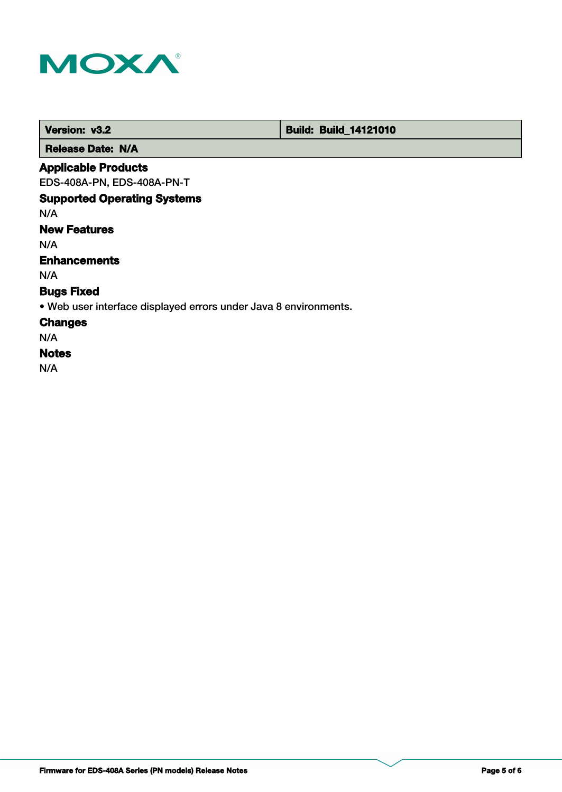

 **Version: v3.2 Build: Build: Build: 14121010** 

 **Release Date: N/A**

## **Applicable Products**

EDS-408A-PN, EDS-408A-PN-T

# **Supported Operating Systems**

N/A

# **New Features**

N/A

# **Enhancements**

N/A

# **Bugs Fixed**

• Web user interface displayed errors under Java 8 environments.

## **Changes**

N/A

#### **Notes**

N/A